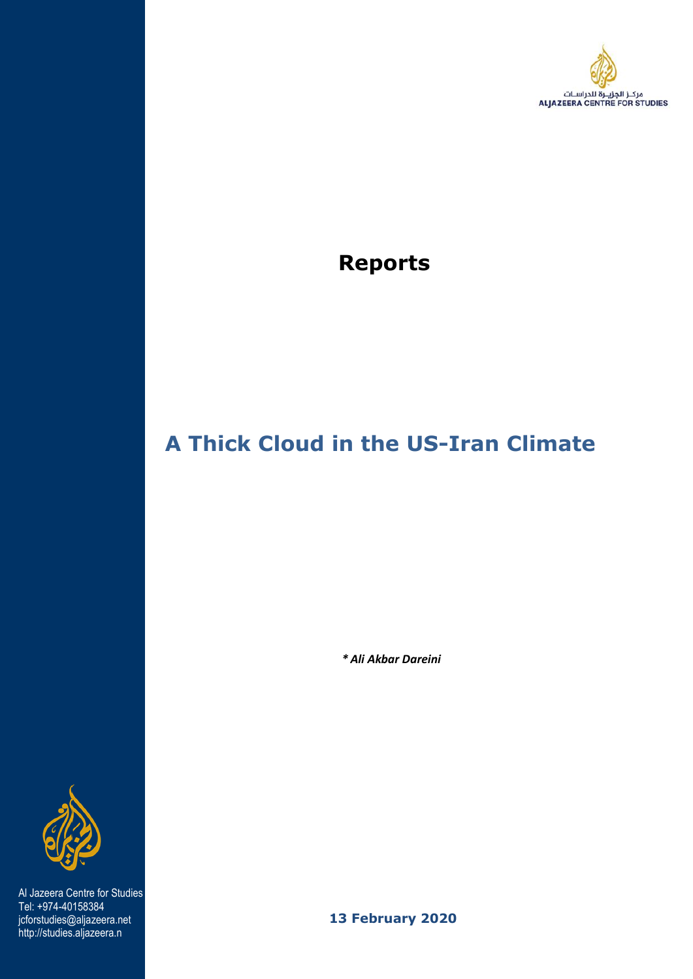

## **Reports**

# **A Thick Cloud in the US-Iran Climate**

 *\* [Ali Akbar Dareini](https://studies.aljazeera.net/en/profile/ali-akbar-dareini-0)*



 Al Jazeera Centre for Studies Tel: +974-40158384 jcforstudies@aljazeera.net http://studies.aljazeera.n

 **13 February 2020**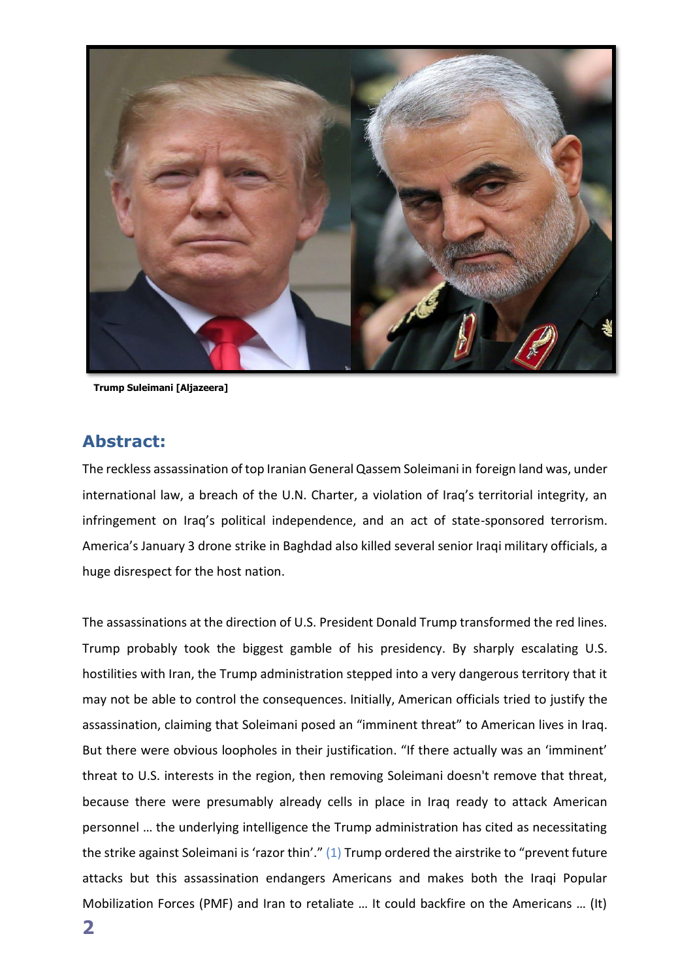

**Trump Suleimani [Aljazeera]**

## **Abstract:**

The reckless assassination of top Iranian General Qassem Soleimani in foreign land was, under international law, a breach of the U.N. Charter, a violation of Iraq's territorial integrity, an infringement on Iraq's political independence, and an act of state-sponsored terrorism. America's January 3 drone strike in Baghdad also killed several senior Iraqi military officials, a huge disrespect for the host nation.

The assassinations at the direction of U.S. President Donald Trump transformed the red lines. Trump probably took the biggest gamble of his presidency. By sharply escalating U.S. hostilities with Iran, the Trump administration stepped into a very dangerous territory that it may not be able to control the consequences. Initially, American officials tried to justify the assassination, claiming that Soleimani posed an "imminent threat" to American lives in Iraq. But there were obvious loopholes in their justification. "If there actually was an 'imminent' threat to U.S. interests in the region, then removing Soleimani doesn't remove that threat, because there were presumably already cells in place in Iraq ready to attack American personnel … the underlying intelligence the Trump administration has cited as necessitating the strike against Soleimani is 'razor thin'." (1) Trump ordered the airstrike to "prevent future attacks but this assassination endangers Americans and makes both the Iraqi Popular Mobilization Forces (PMF) and Iran to retaliate … It could backfire on the Americans … (It)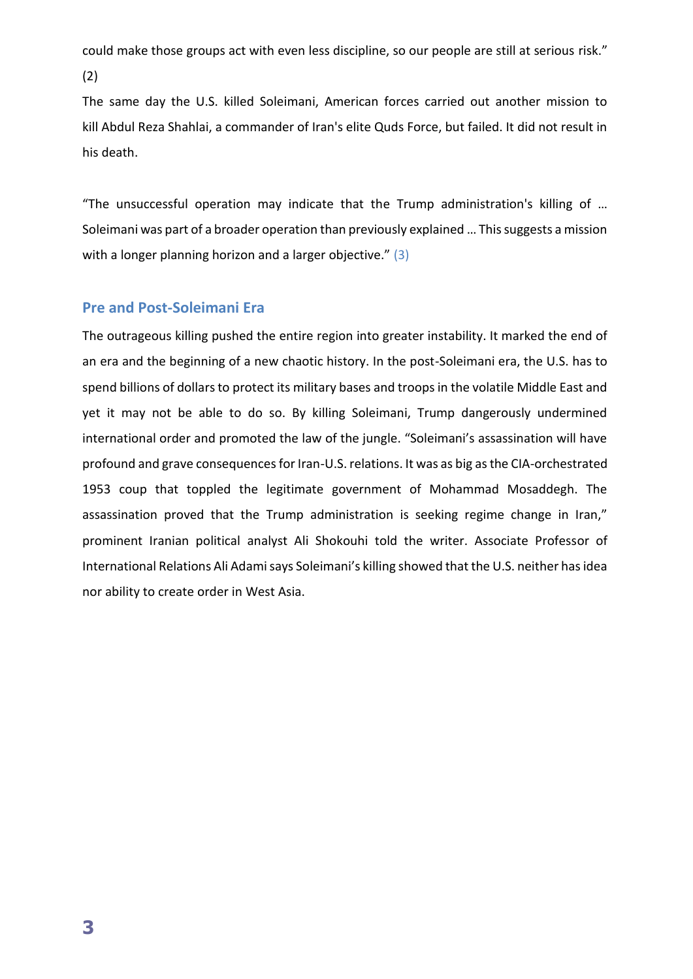could make those groups act with even less discipline, so our people are still at serious risk."

(2)

The same day the U.S. killed Soleimani, American forces carried out another mission to kill Abdul Reza Shahlai, a commander of Iran's elite Quds Force, but failed. It did not result in his death.

"The unsuccessful operation may indicate that the Trump administration's killing of … Soleimani was part of a broader operation than previously explained … This suggests a mission with a longer planning horizon and a larger objective." (3)

## **Pre and Post-Soleimani Era**

The outrageous killing pushed the entire region into greater instability. It marked the end of an era and the beginning of a new chaotic history. In the post-Soleimani era, the U.S. has to spend billions of dollars to protect its military bases and troops in the volatile Middle East and yet it may not be able to do so. By killing Soleimani, Trump dangerously undermined international order and promoted the law of the jungle. "Soleimani's assassination will have profound and grave consequences for Iran-U.S. relations. It was as big as the CIA-orchestrated 1953 coup that toppled the legitimate government of Mohammad Mosaddegh. The assassination proved that the Trump administration is seeking regime change in Iran," prominent Iranian political analyst Ali Shokouhi told the writer. Associate Professor of International Relations Ali Adami says Soleimani's killing showed that the U.S. neither has idea nor ability to create order in West Asia.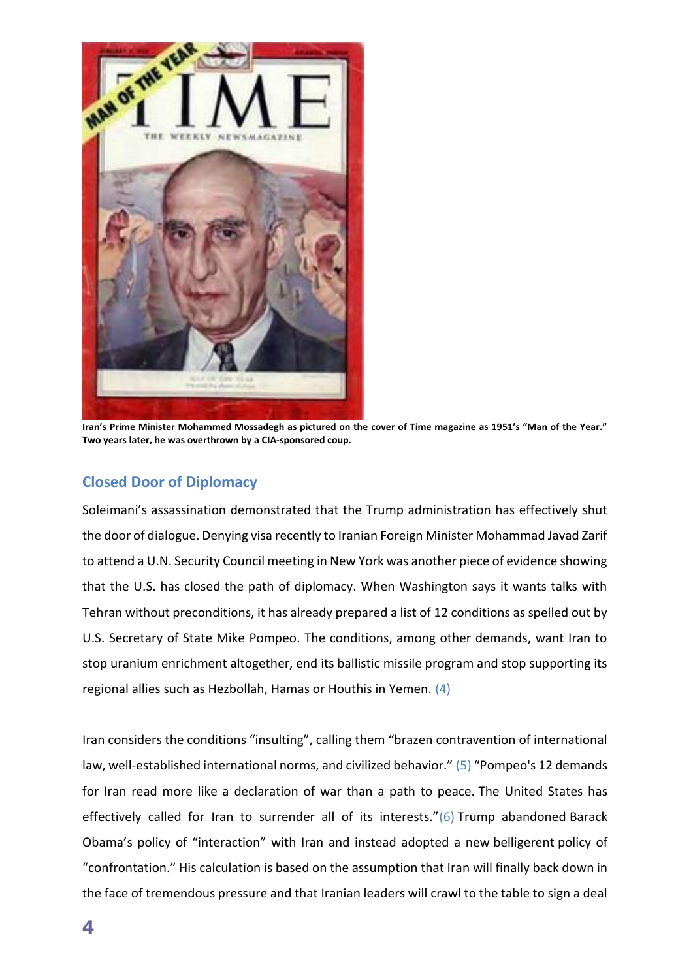

**Iran's Prime Minister Mohammed Mossadegh as pictured on the cover of Time magazine as 1951's "Man of the Year." Two years later, he was overthrown by a CIA-sponsored coup.**

## **Closed Door of Diplomacy**

Soleimani's assassination demonstrated that the Trump administration has effectively shut the door of dialogue. Denying visa recently to Iranian Foreign Minister Mohammad Javad Zarif to attend a U.N. Security Council meeting in New York was another piece of evidence showing that the U.S. has closed the path of diplomacy. When Washington says it wants talks with Tehran without preconditions, it has already prepared a list of 12 conditions as spelled out by U.S. Secretary of State Mike Pompeo. The conditions, among other demands, want Iran to stop uranium enrichment altogether, end its ballistic missile program and stop supporting its regional allies such as Hezbollah, Hamas or Houthis in Yemen. (4)

Iran considers the conditions "insulting", calling them "brazen contravention of international law, well-established international norms, and civilized behavior." (5) "Pompeo's 12 demands for Iran read more like a declaration of war than a path to peace. The United States has effectively called for Iran to surrender all of its interests." $(6)$  Trump abandoned Barack Obama's policy of "interaction" with Iran and instead adopted a new belligerent policy of "confrontation." His calculation is based on the assumption that Iran will finally back down in the face of tremendous pressure and that Iranian leaders will crawl to the table to sign a deal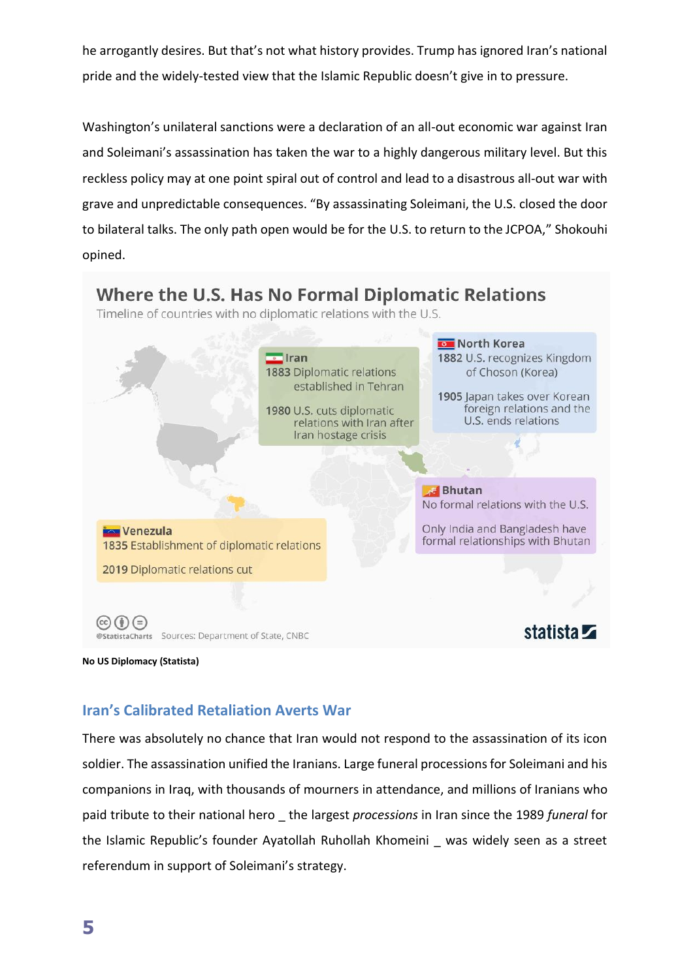he arrogantly desires. But that's not what history provides. Trump has ignored Iran's national pride and the widely-tested view that the Islamic Republic doesn't give in to pressure.

Washington's unilateral sanctions were a declaration of an all-out economic war against Iran and Soleimani's assassination has taken the war to a highly dangerous military level. But this reckless policy may at one point spiral out of control and lead to a disastrous all-out war with grave and unpredictable consequences. "By assassinating Soleimani, the U.S. closed the door to bilateral talks. The only path open would be for the U.S. to return to the JCPOA," Shokouhi opined.



**No US Diplomacy (Statista)**

## **Iran's Calibrated Retaliation Averts War**

There was absolutely no chance that Iran would not respond to the assassination of its icon soldier. The assassination unified the Iranians. Large funeral processions for Soleimani and his companions in Iraq, with thousands of mourners in attendance, and millions of Iranians who paid tribute to their national hero \_ the largest *processions* in Iran since the 1989 *funeral* for the Islamic Republic's founder Ayatollah Ruhollah Khomeini \_ was widely seen as a street referendum in support of Soleimani's strategy.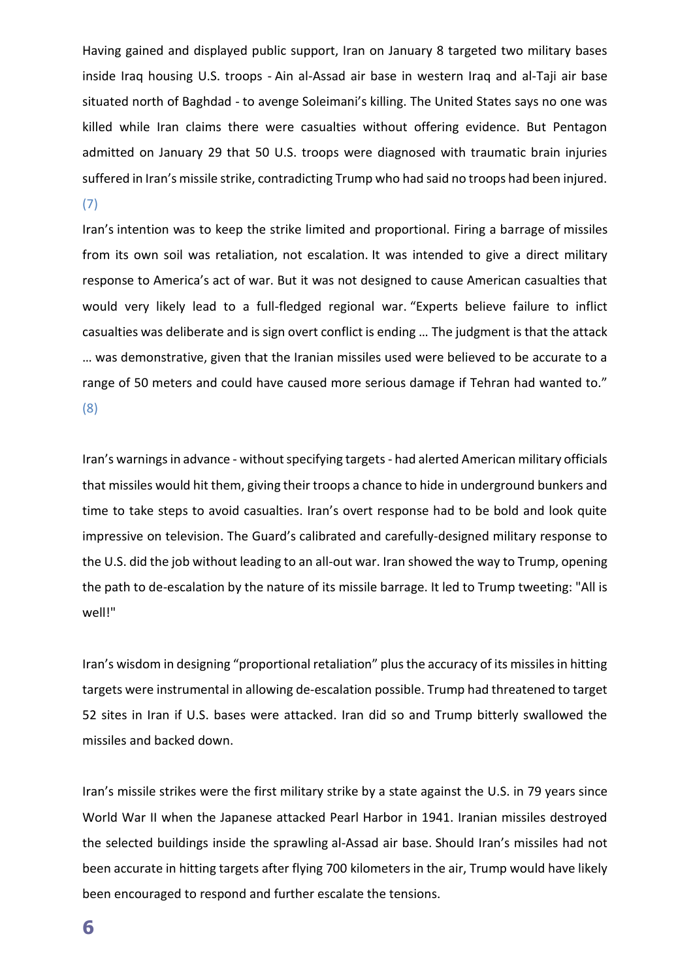Having gained and displayed public support, Iran on January 8 targeted two military bases inside Iraq housing U.S. troops - Ain al-Assad air base in western Iraq and al-Taji air base situated north of Baghdad - to avenge Soleimani's killing. The United States says no one was killed while Iran claims there were casualties without offering evidence. But Pentagon admitted on January 29 that 50 U.S. troops were diagnosed with traumatic brain injuries suffered in Iran's missile strike, contradicting Trump who had said no troops had been injured. (7)

Iran's intention was to keep the strike limited and proportional. Firing a barrage of missiles from its own soil was retaliation, not escalation. It was intended to give a direct military response to America's act of war. But it was not designed to cause American casualties that would very likely lead to a full-fledged regional war. "Experts believe failure to inflict casualties was deliberate and is sign overt conflict is ending … The judgment is that the attack … was demonstrative, given that the Iranian missiles used were believed to be accurate to a range of 50 meters and could have caused more serious damage if Tehran had wanted to." (8)

Iran's warnings in advance - without specifying targets - had alerted American military officials that missiles would hit them, giving their troops a chance to hide in underground bunkers and time to take steps to avoid casualties. Iran's overt response had to be bold and look quite impressive on television. The Guard's calibrated and carefully-designed military response to the U.S. did the job without leading to an all-out war. Iran showed the way to Trump, opening the path to de-escalation by the nature of its missile barrage. It led to Trump tweeting: "All is well!"

Iran's wisdom in designing "proportional retaliation" plus the accuracy of its missiles in hitting targets were instrumental in allowing de-escalation possible. Trump had threatened to target 52 sites in Iran if U.S. bases were attacked. Iran did so and Trump bitterly swallowed the missiles and backed down.

Iran's missile strikes were the first military strike by a state against the U.S. in 79 years since World War II when the Japanese attacked Pearl Harbor in 1941. Iranian missiles destroyed the selected buildings inside the sprawling al-Assad air base. Should Iran's missiles had not been accurate in hitting targets after flying 700 kilometers in the air, Trump would have likely been encouraged to respond and further escalate the tensions.

**6**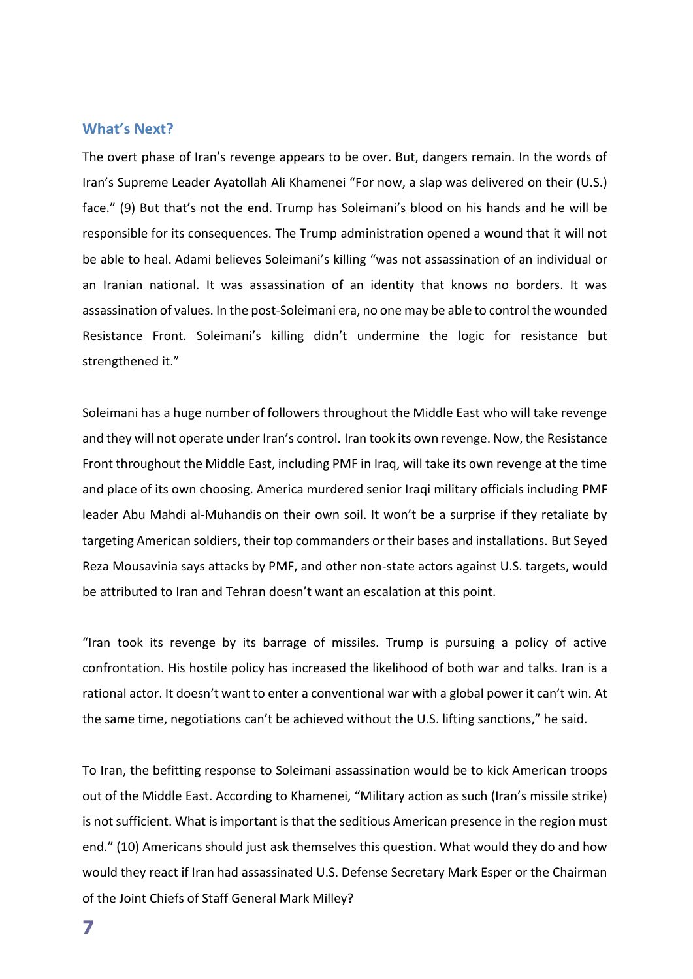#### **What's Next?**

The overt phase of Iran's revenge appears to be over. But, dangers remain. In the words of Iran's Supreme Leader Ayatollah Ali Khamenei "For now, a slap was delivered on their (U.S.) face." (9) But that's not the end. Trump has Soleimani's blood on his hands and he will be responsible for its consequences. The Trump administration opened a wound that it will not be able to heal. Adami believes Soleimani's killing "was not assassination of an individual or an Iranian national. It was assassination of an identity that knows no borders. It was assassination of values. In the post-Soleimani era, no one may be able to control the wounded Resistance Front. Soleimani's killing didn't undermine the logic for resistance but strengthened it."

Soleimani has a huge number of followers throughout the Middle East who will take revenge and they will not operate under Iran's control. Iran took its own revenge. Now, the Resistance Front throughout the Middle East, including PMF in Iraq, will take its own revenge at the time and place of its own choosing. America murdered senior Iraqi military officials including PMF leader Abu Mahdi al-Muhandis on their own soil. It won't be a surprise if they retaliate by targeting American soldiers, their top commanders or their bases and installations. But Seyed Reza Mousavinia says attacks by PMF, and other non-state actors against U.S. targets, would be attributed to Iran and Tehran doesn't want an escalation at this point.

"Iran took its revenge by its barrage of missiles. Trump is pursuing a policy of active confrontation. His hostile policy has increased the likelihood of both war and talks. Iran is a rational actor. It doesn't want to enter a conventional war with a global power it can't win. At the same time, negotiations can't be achieved without the U.S. lifting sanctions," he said.

To Iran, the befitting response to Soleimani assassination would be to kick American troops out of the Middle East. According to Khamenei, "Military action as such (Iran's missile strike) is not sufficient. What is important is that the seditious American presence in the region must end." (10) Americans should just ask themselves this question. What would they do and how would they react if Iran had assassinated U.S. Defense Secretary Mark Esper or the Chairman of the Joint Chiefs of Staff General Mark Milley?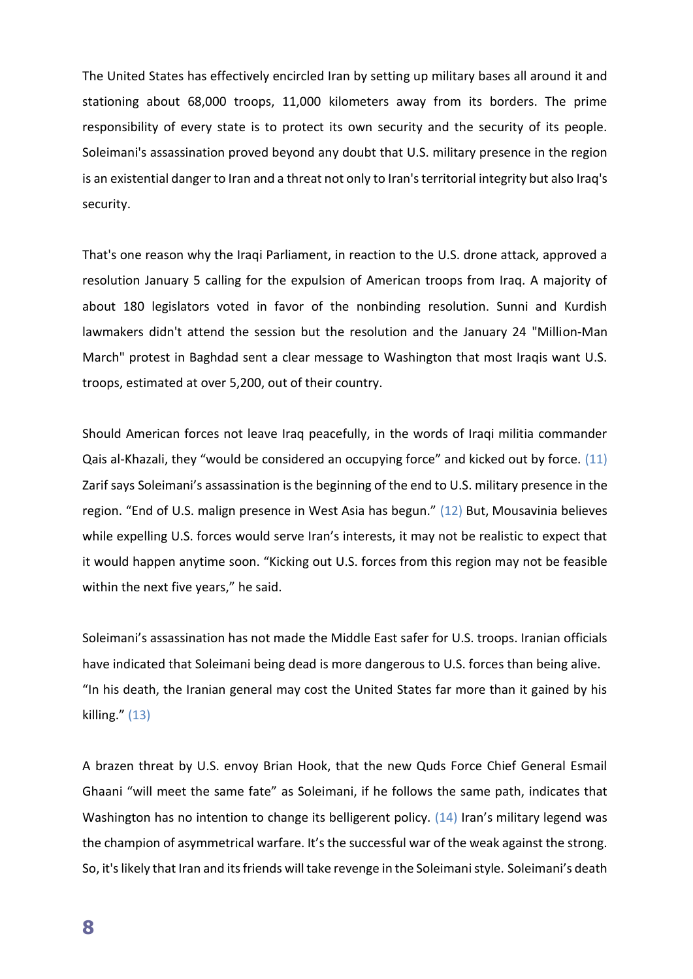The United States has effectively encircled Iran by setting up military bases all around it and stationing about 68,000 troops, 11,000 kilometers away from its borders. The prime responsibility of every state is to protect its own security and the security of its people. Soleimani's assassination proved beyond any doubt that U.S. military presence in the region is an existential danger to Iran and a threat not only to Iran's territorial integrity but also Iraq's security.

That's one reason why the Iraqi Parliament, in reaction to the U.S. drone attack, approved a resolution January 5 calling for the expulsion of American troops from Iraq. A majority of about 180 legislators voted in favor of the nonbinding resolution. Sunni and Kurdish lawmakers didn't attend the session but the resolution and the January 24 "Million-Man March" protest in Baghdad sent a clear message to Washington that most Iraqis want U.S. troops, estimated at over 5,200, out of their country.

Should American forces not leave Iraq peacefully, in the words of Iraqi militia commander Qais al-Khazali, they "would be considered an occupying force" and kicked out by force. (11) Zarif says Soleimani's assassination is the beginning of the end to U.S. military presence in the region. "End of U.S. malign presence in West Asia has begun." (12) But, Mousavinia believes while expelling U.S. forces would serve Iran's interests, it may not be realistic to expect that it would happen anytime soon. "Kicking out U.S. forces from this region may not be feasible within the next five years," he said.

Soleimani's assassination has not made the Middle East safer for U.S. troops. Iranian officials have indicated that Soleimani being dead is more dangerous to U.S. forces than being alive. "In his death, the Iranian general may cost the United States far more than it gained by his killing." (13)

A brazen threat by U.S. envoy Brian Hook, that the new Quds Force Chief General Esmail Ghaani "will meet the same fate" as Soleimani, if he follows the same path, indicates that Washington has no intention to change its belligerent policy. (14) Iran's military legend was the champion of asymmetrical warfare. It's the successful war of the weak against the strong. So, it's likely that Iran and its friends will take revenge in the Soleimani style. Soleimani's death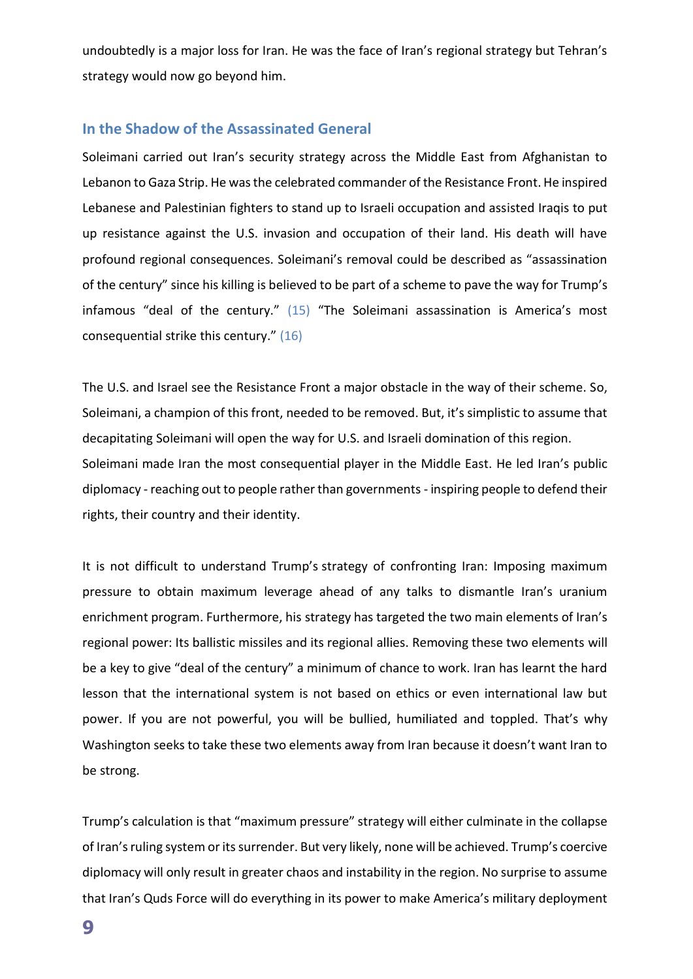undoubtedly is a major loss for Iran. He was the face of Iran's regional strategy but Tehran's strategy would now go beyond him.

#### **In the Shadow of the Assassinated General**

Soleimani carried out Iran's security strategy across the Middle East from Afghanistan to Lebanon to Gaza Strip. He was the celebrated commander of the Resistance Front. He inspired Lebanese and Palestinian fighters to stand up to Israeli occupation and assisted Iraqis to put up resistance against the U.S. invasion and occupation of their land. His death will have profound regional consequences. Soleimani's removal could be described as "assassination of the century" since his killing is believed to be part of a scheme to pave the way for Trump's infamous "deal of the century." (15) "The Soleimani assassination is America's most consequential strike this century." (16)

The U.S. and Israel see the Resistance Front a major obstacle in the way of their scheme. So, Soleimani, a champion of this front, needed to be removed. But, it's simplistic to assume that decapitating Soleimani will open the way for U.S. and Israeli domination of this region. Soleimani made Iran the most consequential player in the Middle East. He led Iran's public diplomacy - reaching out to people rather than governments - inspiring people to defend their rights, their country and their identity.

It is not difficult to understand Trump's strategy of confronting Iran: Imposing maximum pressure to obtain maximum leverage ahead of any talks to dismantle Iran's uranium enrichment program. Furthermore, his strategy has targeted the two main elements of Iran's regional power: Its ballistic missiles and its regional allies. Removing these two elements will be a key to give "deal of the century" a minimum of chance to work. Iran has learnt the hard lesson that the international system is not based on ethics or even international law but power. If you are not powerful, you will be bullied, humiliated and toppled. That's why Washington seeks to take these two elements away from Iran because it doesn't want Iran to be strong.

Trump's calculation is that "maximum pressure" strategy will either culminate in the collapse of Iran's ruling system or its surrender. But very likely, none will be achieved. Trump's coercive diplomacy will only result in greater chaos and instability in the region. No surprise to assume that Iran's Quds Force will do everything in its power to make America's military deployment

**9**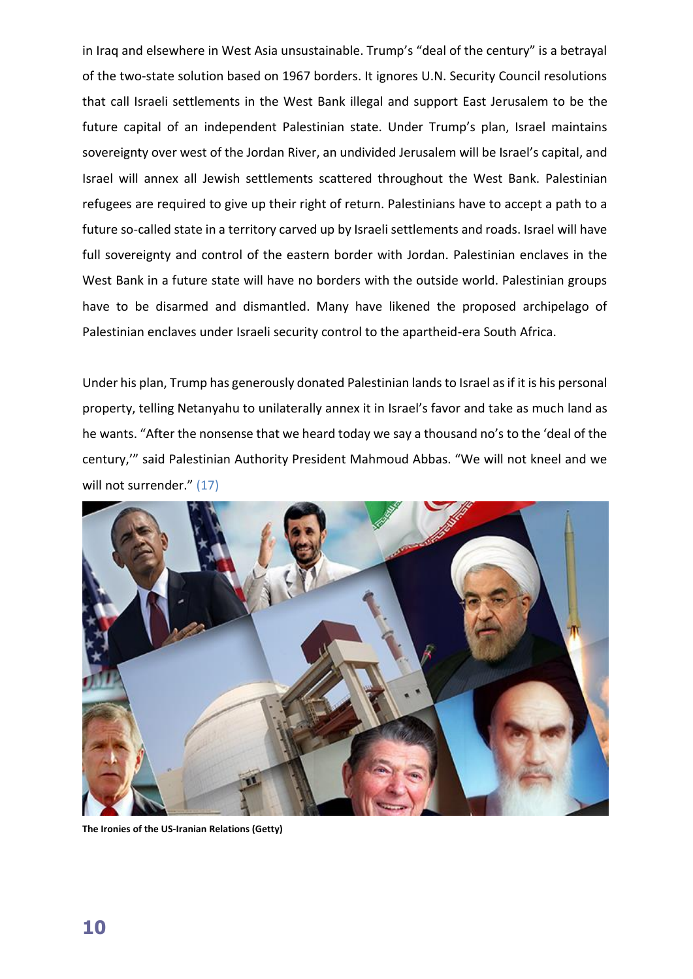in Iraq and elsewhere in West Asia unsustainable. Trump's "deal of the century" is a betrayal of the two-state solution based on 1967 borders. It ignores U.N. Security Council resolutions that call Israeli settlements in the West Bank illegal and support East Jerusalem to be the future capital of an independent Palestinian state. Under Trump's plan, Israel maintains sovereignty over west of the Jordan River, an undivided Jerusalem will be Israel's capital, and Israel will annex all Jewish settlements scattered throughout the West Bank. Palestinian refugees are required to give up their right of return. Palestinians have to accept a path to a future so-called state in a territory carved up by Israeli settlements and roads. Israel will have full sovereignty and control of the eastern border with Jordan. Palestinian enclaves in the West Bank in a future state will have no borders with the outside world. Palestinian groups have to be disarmed and dismantled. Many have likened the proposed archipelago of Palestinian enclaves under Israeli security control to the apartheid-era South Africa.

Under his plan, Trump has generously donated Palestinian lands to Israel as if it is his personal property, telling Netanyahu to unilaterally annex it in Israel's favor and take as much land as he wants. "After the nonsense that we heard today we say a thousand no's to the 'deal of the century,'" said Palestinian Authority President Mahmoud Abbas. "We will not kneel and we will not surrender." (17)



**The Ironies of the US-Iranian Relations (Getty)**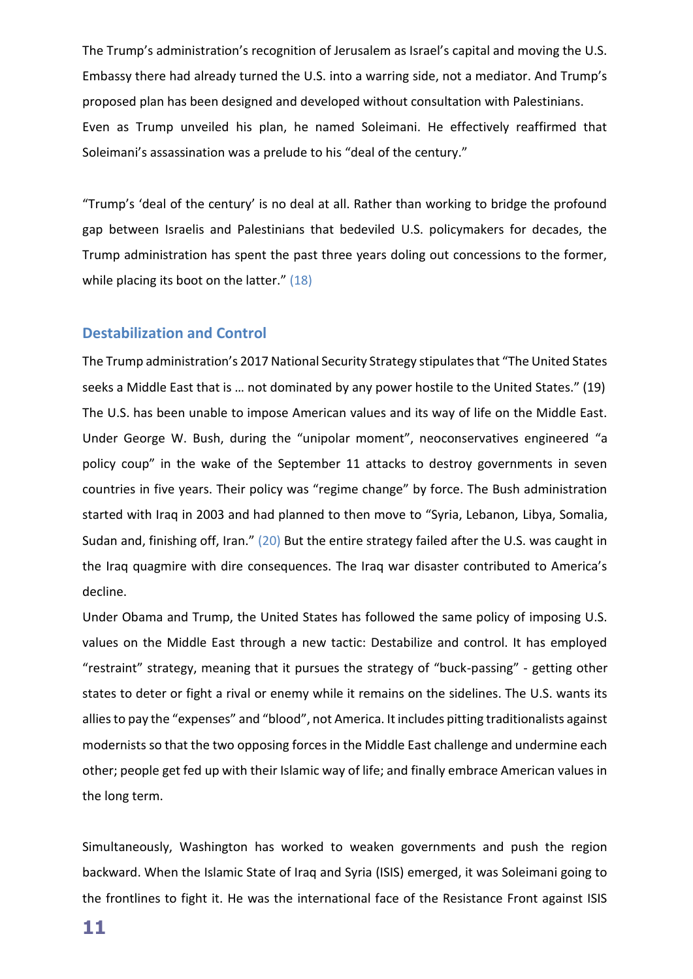The Trump's administration's recognition of Jerusalem as Israel's capital and moving the U.S. Embassy there had already turned the U.S. into a warring side, not a mediator. And Trump's proposed plan has been designed and developed without consultation with Palestinians. Even as Trump unveiled his plan, he named Soleimani. He effectively reaffirmed that Soleimani's assassination was a prelude to his "deal of the century."

"Trump's 'deal of the century' is no deal at all. Rather than working to bridge the profound gap between Israelis and Palestinians that bedeviled U.S. policymakers for decades, the Trump administration has spent the past three years doling out concessions to the former, while placing its boot on the latter." (18)

#### **Destabilization and Control**

The Trump administration's 2017 National Security Strategy stipulates that "The United States seeks a Middle East that is … not dominated by any power hostile to the United States." (19) The U.S. has been unable to impose American values and its way of life on the Middle East. Under George W. Bush, during the "unipolar moment", neoconservatives engineered "a policy coup" in the wake of the September 11 attacks to destroy governments in seven countries in five years. Their policy was "regime change" by force. The Bush administration started with Iraq in 2003 and had planned to then move to "Syria, Lebanon, Libya, Somalia, Sudan and, finishing off, Iran." (20) But the entire strategy failed after the U.S. was caught in the Iraq quagmire with dire consequences. The Iraq war disaster contributed to America's decline.

Under Obama and Trump, the United States has followed the same policy of imposing U.S. values on the Middle East through a new tactic: Destabilize and control. It has employed "restraint" strategy, meaning that it pursues the strategy of "buck-passing" - getting other states to deter or fight a rival or enemy while it remains on the sidelines. The U.S. wants its allies to pay the "expenses" and "blood", not America. It includes pitting traditionalists against modernists so that the two opposing forces in the Middle East challenge and undermine each other; people get fed up with their Islamic way of life; and finally embrace American values in the long term.

Simultaneously, Washington has worked to weaken governments and push the region backward. When the Islamic State of Iraq and Syria (ISIS) emerged, it was Soleimani going to the frontlines to fight it. He was the international face of the Resistance Front against ISIS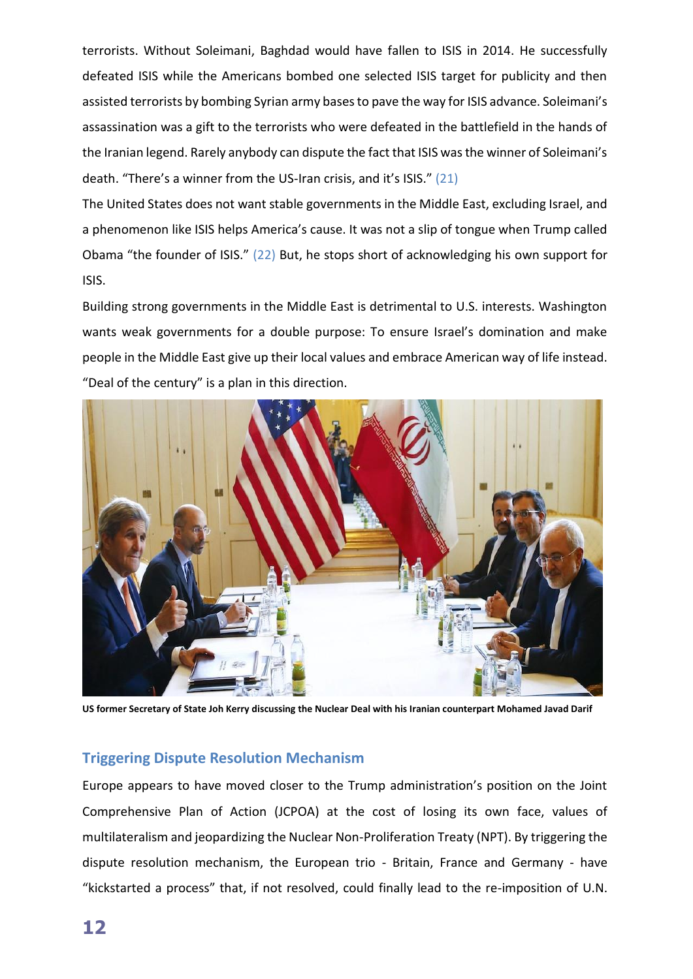terrorists. Without Soleimani, Baghdad would have fallen to ISIS in 2014. He successfully defeated ISIS while the Americans bombed one selected ISIS target for publicity and then assisted terrorists by bombing Syrian army bases to pave the way for ISIS advance. Soleimani's assassination was a gift to the terrorists who were defeated in the battlefield in the hands of the Iranian legend. Rarely anybody can dispute the fact that ISIS was the winner of Soleimani's death. "There's a winner from the US-Iran crisis, and it's ISIS." (21)

The United States does not want stable governments in the Middle East, excluding Israel, and a phenomenon like ISIS helps America's cause. It was not a slip of tongue when Trump called Obama "the founder of ISIS." (22) But, he stops short of acknowledging his own support for ISIS.

Building strong governments in the Middle East is detrimental to U.S. interests. Washington wants weak governments for a double purpose: To ensure Israel's domination and make people in the Middle East give up their local values and embrace American way of life instead. "Deal of the century" is a plan in this direction.



**US former Secretary of State Joh Kerry discussing the Nuclear Deal with his Iranian counterpart Mohamed Javad Darif**

### **Triggering Dispute Resolution Mechanism**

Europe appears to have moved closer to the Trump administration's position on the Joint Comprehensive Plan of Action (JCPOA) at the cost of losing its own face, values of multilateralism and jeopardizing the Nuclear Non-Proliferation Treaty (NPT). By triggering the dispute resolution mechanism, the European trio - Britain, France and Germany - have "kickstarted a process" that, if not resolved, could finally lead to the re-imposition of U.N.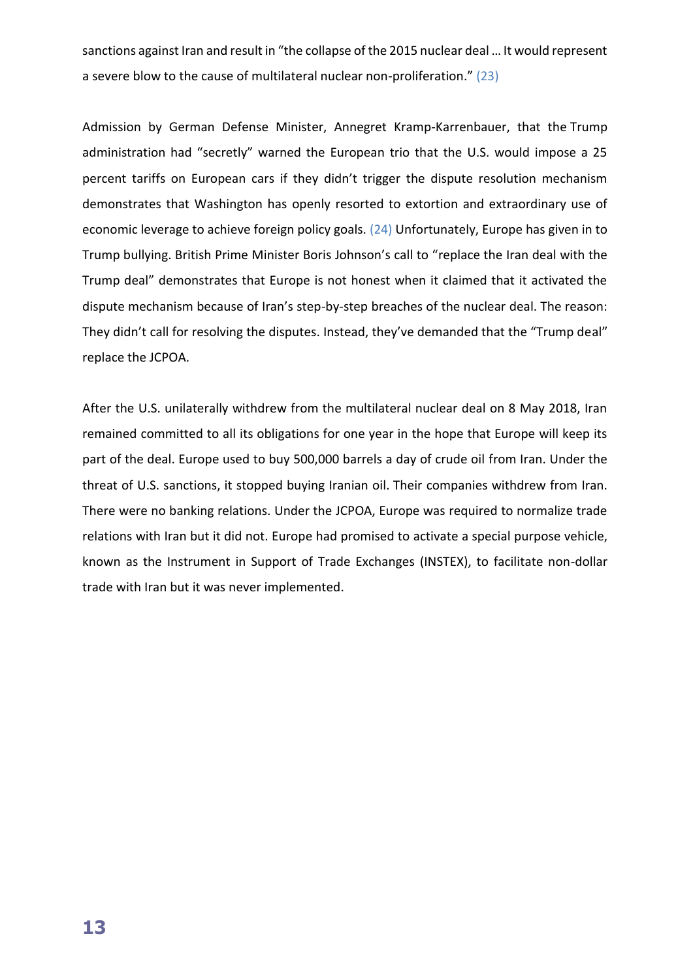sanctions against Iran and result in "the collapse of the 2015 nuclear deal … It would represent a severe blow to the cause of multilateral nuclear non-proliferation." (23)

Admission by German Defense Minister, Annegret Kramp-Karrenbauer, that the Trump administration had "secretly" warned the European trio that the U.S. would impose a 25 percent tariffs on European cars if they didn't trigger the dispute resolution mechanism demonstrates that Washington has openly resorted to extortion and extraordinary use of economic leverage to achieve foreign policy goals. (24) Unfortunately, Europe has given in to Trump bullying. British Prime Minister Boris Johnson's call to "replace the Iran deal with the Trump deal" demonstrates that Europe is not honest when it claimed that it activated the dispute mechanism because of Iran's step-by-step breaches of the nuclear deal. The reason: They didn't call for resolving the disputes. Instead, they've demanded that the "Trump deal" replace the JCPOA.

After the U.S. unilaterally withdrew from the multilateral nuclear deal on 8 May 2018, Iran remained committed to all its obligations for one year in the hope that Europe will keep its part of the deal. Europe used to buy 500,000 barrels a day of crude oil from Iran. Under the threat of U.S. sanctions, it stopped buying Iranian oil. Their companies withdrew from Iran. There were no banking relations. Under the JCPOA, Europe was required to normalize trade relations with Iran but it did not. Europe had promised to activate a special purpose vehicle, known as the Instrument in Support of Trade Exchanges (INSTEX), to facilitate non-dollar trade with Iran but it was never implemented.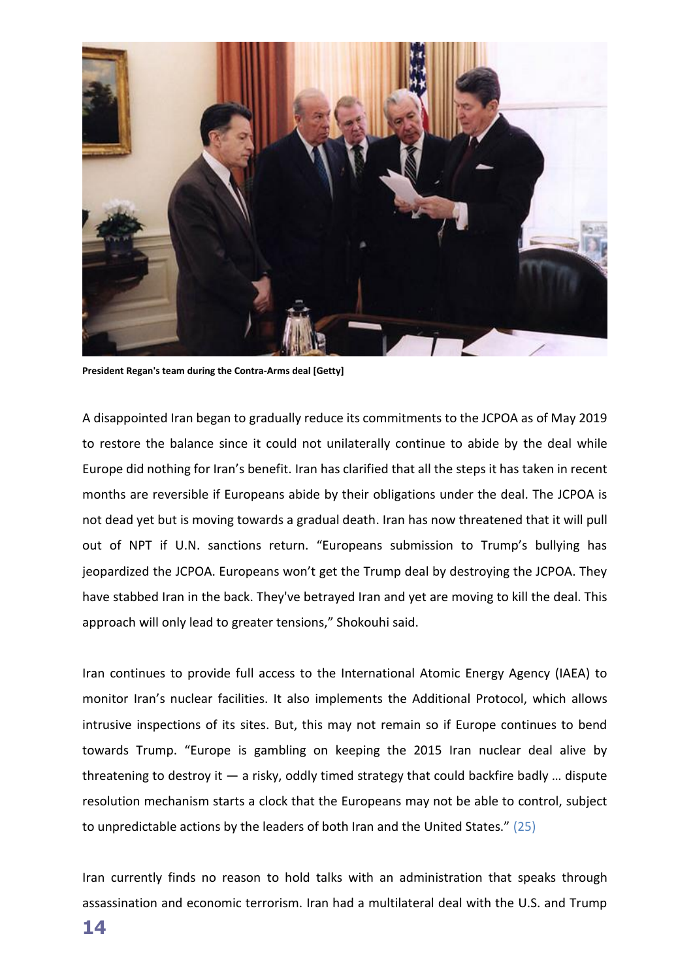

**President Regan's team during the Contra-Arms deal [Getty]**

A disappointed Iran began to gradually reduce its commitments to the JCPOA as of May 2019 to restore the balance since it could not unilaterally continue to abide by the deal while Europe did nothing for Iran's benefit. Iran has clarified that all the steps it has taken in recent months are reversible if Europeans abide by their obligations under the deal. The JCPOA is not dead yet but is moving towards a gradual death. Iran has now threatened that it will pull out of NPT if U.N. sanctions return. "Europeans submission to Trump's bullying has jeopardized the JCPOA. Europeans won't get the Trump deal by destroying the JCPOA. They have stabbed Iran in the back. They've betrayed Iran and yet are moving to kill the deal. This approach will only lead to greater tensions," Shokouhi said.

Iran continues to provide full access to the International Atomic Energy Agency (IAEA) to monitor Iran's nuclear facilities. It also implements the Additional Protocol, which allows intrusive inspections of its sites. But, this may not remain so if Europe continues to bend towards Trump. "Europe is gambling on keeping the 2015 Iran nuclear deal alive by threatening to destroy it  $-$  a risky, oddly timed strategy that could backfire badly ... dispute resolution mechanism starts a clock that the Europeans may not be able to control, subject to unpredictable actions by the leaders of both Iran and the United States." (25)

Iran currently finds no reason to hold talks with an administration that speaks through assassination and economic terrorism. Iran had a multilateral deal with the U.S. and Trump